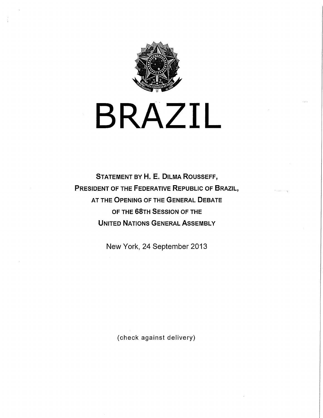

## BRAZIL

STATEMENT BY H. E. DILMA ROUSSEFF, PRESIDENT OF THE FEDERATIVE REPUBLIC OF BRAZIL, AT THE OPENING OF THE GENERAL DEBATE OF THE 68TH SESSION OF THE UNITED NATIONS GENERAL ASSEMBLY

New York, 24 September 2013

(check against delivery)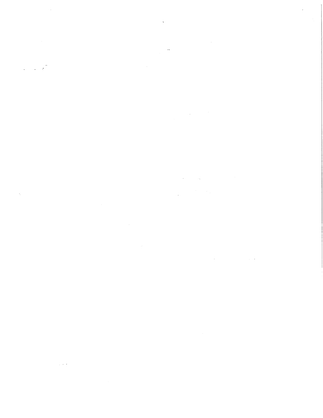$\label{eq:2.1} \frac{1}{\sqrt{2\pi}}\frac{1}{\sqrt{2\pi}}\frac{1}{\sqrt{2\pi}}\int_{0}^{\frac{\pi}{2}}\frac{1}{\sqrt{2\pi}}\frac{1}{\sqrt{2\pi}}\frac{1}{\sqrt{2\pi}}\frac{1}{\sqrt{2\pi}}\frac{1}{\sqrt{2\pi}}\frac{1}{\sqrt{2\pi}}\frac{1}{\sqrt{2\pi}}\frac{1}{\sqrt{2\pi}}\frac{1}{\sqrt{2\pi}}\frac{1}{\sqrt{2\pi}}\frac{1}{\sqrt{2\pi}}\frac{1}{\sqrt{2\pi}}\frac{1}{\sqrt{2\pi}}\frac{1}{\$ 

 $\label{eq:1} \mathcal{N}_{\text{max}} = \mathcal{N}_{\text{max}} \left( \mathcal{N}_{\text{max}} \right)$ 

 $\hat{f}^{\dagger}_{\mu\nu}$  is a positive of  $\hat{f}^{\dagger}_{\mu\nu}$ 

 $\label{eq:2.1} \frac{1}{\sqrt{2}}\int_{\mathbb{R}^3}\frac{1}{\sqrt{2}}\left(\frac{1}{\sqrt{2}}\right)^2\frac{1}{\sqrt{2}}\left(\frac{1}{\sqrt{2}}\right)^2\frac{1}{\sqrt{2}}\left(\frac{1}{\sqrt{2}}\right)^2\frac{1}{\sqrt{2}}\left(\frac{1}{\sqrt{2}}\right)^2.$  $\label{eq:2.1} \frac{1}{\sqrt{2\pi}}\int_{0}^{\pi} \frac{1}{\sqrt{2\pi}}\left(\frac{1}{\sqrt{2\pi}}\right)^{2\pi} \frac{1}{\sqrt{2\pi}}\int_{0}^{\pi} \frac{1}{\sqrt{2\pi}}\left(\frac{1}{\sqrt{2\pi}}\right)^{2\pi} \frac{1}{\sqrt{2\pi}}\int_{0}^{\pi} \frac{1}{\sqrt{2\pi}}\frac{1}{\sqrt{2\pi}}\frac{1}{\sqrt{2\pi}}\frac{1}{\sqrt{2\pi}}\frac{1}{\sqrt{2\pi}}\frac{1}{\sqrt{2\pi}}\frac{1}{\sqrt{$ 

 $\label{eq:2.1} \mathcal{L}_{\mathcal{A}}(\mathcal{A}) = \mathcal{L}_{\mathcal{A}}(\mathcal{A}) \otimes \mathcal{L}_{\mathcal{A}}(\mathcal{A}) \otimes \mathcal{L}_{\mathcal{A}}(\mathcal{A})$  $\label{eq:2.1} \frac{1}{2} \int_{\mathbb{R}^3} \frac{1}{\sqrt{2}} \left( \frac{1}{2} \sum_{i=1}^3 \frac{1}{2} \sum_{j=1}^3 \frac{1}{2} \sum_{j=1}^3 \frac{1}{2} \sum_{j=1}^3 \frac{1}{2} \sum_{j=1}^3 \frac{1}{2} \sum_{j=1}^3 \frac{1}{2} \sum_{j=1}^3 \frac{1}{2} \sum_{j=1}^3 \frac{1}{2} \sum_{j=1}^3 \frac{1}{2} \sum_{j=1}^3 \frac{1}{2} \sum_{j=1}^3 \frac{$ 

 $\label{eq:2.1} \frac{1}{\sqrt{2}}\left(\frac{1}{\sqrt{2}}\right)^{2} \left(\frac{1}{\sqrt{2}}\right)^{2} \left(\frac{1}{\sqrt{2}}\right)^{2} \left(\frac{1}{\sqrt{2}}\right)^{2} \left(\frac{1}{\sqrt{2}}\right)^{2} \left(\frac{1}{\sqrt{2}}\right)^{2} \left(\frac{1}{\sqrt{2}}\right)^{2} \left(\frac{1}{\sqrt{2}}\right)^{2} \left(\frac{1}{\sqrt{2}}\right)^{2} \left(\frac{1}{\sqrt{2}}\right)^{2} \left(\frac{1}{\sqrt{2}}\right)^{2} \left(\$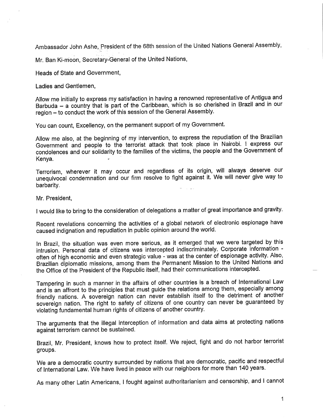Ambassador John Ashe, President of the 68th session of the United Nations General Assembly,

Mr. Ban Ki-mo0n, Secretary-General of the United Nations,

Heads of State and Government,

Ladies and Gentlemen,

Allow me initially to express my satisfaction in having a renowned representative of Antigua and Barbuda - a country that is part of the Caribbean, which is so cherished in Brazil and in our region - to conduct the work of this session of the General Assembly.

You can count, Excellency, on the permanent support of my Government.

Allow me also, at the beginning of my intervention, to express the repudiation of the Brazilian Government and people to the terrorist attack that took place in Nairobi. I express our condolences and our solidarity to the families of the victims, the people and the Government of <del>conacionece and can condu</del>n<br>Kenya.

Terrorism, wherever it may occur and regardless of its origin, will always deserve our unequivocal condemnation and our firm resolve to fight against it. We will never give way to barbarity.

Mr. President,

I would like to bring to the consideration of delegations a matter of great importance and gravity.

Recent revelations concerning the activities of a global network of electronic espionage have caused indignation and repudiation in public opinion around the world.

In Brazil, the situation was even more serious, as it emerged that we were targeted by this intrusion. Personal data of citizens was intercepted indiscriminately. Corporate information often of high economic and even strategic value - was at the center of espionage activity. Also, Brazilian diplomatic missions, among them the Permanent Mission to the United Nations and the Office of the President of the Republic itself, had their communications intercepted.

Tampering in such a manner in the affairs of other countries is a breach of International Law and is an affront to the principles that must guide the relations among them, especially among friendly nations. A sovereign nation can never establish itself to the detriment of another sovereign nation. The right to safety of citizens of one country can never be guaranteed by violating fundamental human rights of citizens of another country.

The arguments that the illegal interception of information and data aims at protecting nations against terrorism cannot be sustained.

Brazil, Mr. President, knows how to protect itself. We reject, fight and do not harbor terrorist groups.

We are a democratic country surrounded by nations that are democratic, pacific and respectful of International Law. We have lived in peace with our neighbors for more than 140 years.

As many other Latin Americans, I fought against authoritarianism and censorship, and I cannot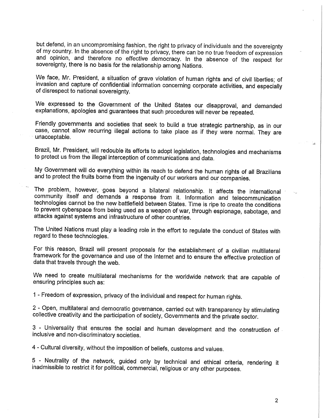but defend, in an uncompromising fashion, the right to privacy of individuals and the sovereignty of my country. In the absence of the right to privacy, there can be no true freedom of expression and opinion, and therefore no effective democracy. In the absence of the respect for sovereignty, there is no basis for the relationship among Nations.

We face, Mr. President, a situation of grave violation of human rights and of civil liberties; of invasion and capture of confidential information concerning corporate activities, and especially of disrespect to national sovereignty.

We expressed to the Government of the United States our disapproval, and demanded explanations, apologies and guarantees that such procedures will never be repeated.

Friendly governments and societies that seek to build a true strategic partnership, as in our case, cannot allow recurring illegal actions to take place as if they were normal. They are unacceptable.

Brazil, Mr. President, will redouble its efforts to adopt legislation, technologies and mechanisms to protect us from the illegal interception of communications and data.

My Government will do everything within its reach to defend the human rights of all Brazilians and to protect the fruits borne from the ingenuity of our workers and our companies.

The problem, however, goes beyond a bilateral relationship. It affects the international community itself and demands a response from it. Information and telecommunication technologies cannot be the new battlefield between States. Time is ripe to create the conditions to prevent cyberspace from being used as a weapon of war, through espionage, sabotage, and attacks against systems and infrastructure of other countries.

The United Nations must play a leading role in the effort to regulate the conduct of States with regard to these technologies.

For this reason, Brazil will present proposals for the establishment of a civilian multilateral framework for the governance and use of the Internet and to ensure the effective protection of data that travels through the web.

We need to create multilateral mechanisms for the worldwide network that are capable of ensuring principles such as:

1 - Freedom of expression, privacy of the individual and respect for human rights.

2 - Open, multilateral and democratic governance, carried out with transparency by stimulating collective creativity and the participation of society, Governments and the private sector.

3 - Universality that ensures the social and human development and the construction of inclusive and non-discriminatory societies.

4 - Cultural diversity, without the imposition of beliefs, customs and values.

5 - Neutrality of the network, guided only by technical and ethical criteria, rendering it inadmissible to restrict it for political, commercial, religious or any other purposes.

2

U.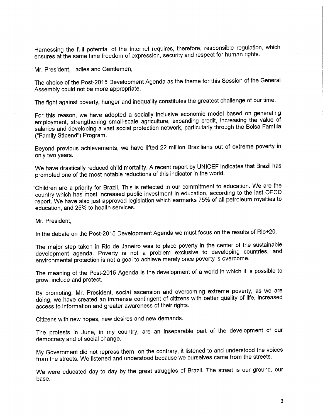Harnessing the full potential of the Internet requires, therefore, responsible regulation, which ensures at the same time freedom of expression, security and respect for human rights.

Mr. President, Ladies and Gentlemen,

The choice of the Post-2015 Development Agenda as the theme for this Session of the General Assembly could not be more appropriate.

The fight against poverty, hunger and inequality constitutes the greatest challenge of our time.

For this reason, we have adopted a socially inclusive economic model based on generating employment, strengthening small-scale agriculture, expanding credit, increasing the value of salaries and developing a vast social protection network, particularly through the Bolsa Familia ("Family Stipend") Program.

Beyond previous achievements, we have lifted 22 million Brazilians out of extreme poverty in only two years.

We have drastically reduced child mortality. A recent report by UNICEF indicates that Brazil has promoted one of the most notable reductions of this indicator in the world.

-Children are a priority for Brazil. This is reflected in our commitment to education. We are the country which has most increased public investment in education, according to the last OECD report. We have also just approved legislation which earmarks 75% of all petroleum royalties to education, and 25% to health services.

Mr. President,

In the debate on the Post-2015 Development Agenda we must focus on the results of Rio+20.

The major step taken in Rio de Janeiro was to place poverty in the center of the sustainable development agenda. Poverty is not a problem exclusive to developing countries, and environmental protection is not a goal to achieve merely once poverty is overcome.

The meaning of the Post-2015 Agenda is the development of a world in which it is possible to grow, include and protect.

By promoting, Mr. President, social ascension and overcoming extreme poverty, as we are doing, we have created an immense contingent of citizens with better quality of life, increased access to information and greater awareness of their rights.

Citizens with new hopes, new desires and new demands.

The protests in June, in my country, are an inseparable part of the development of our democracy and of social change.

My Government did not repress them, on the contrary, it listened to and understood the voices from the streets. We listened and understood because we ourselves came from the streets.

We were educated day to day by the great struggles of Brazil. The street is our ground, our base.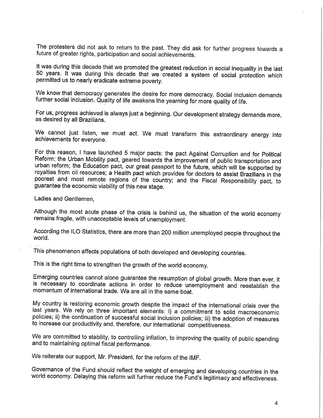The protesters did not ask to return to the past. They did ask for further progress towards a future of greater rights, participation and social achievements.

It was during this decade that we promoted the greatest reduction in social inequality in the last 50 years. It was during this decade that we created a system of social protection which permitted us to nearly eradicate extreme poverty.

We know that democracy generates the desire for more democracy. Social inclusion demands further social inclusion. Quality of life awakens the yearning for more quality of life.

For us, progress achieved is always just a beginning. Our development strategy demands more, as desired by all Brazilians.

We cannot just listen, we must act. We must transform this extraordinary energy into achievements for everyone.

For this reason, I have launched 5 major pacts: the pact Against Corruption and for Political Reform; the Urban Mobility pact, geared towards the improvement of public transportation and urban reform; the Education pact, our great passport to the future, which will be supported by royalties from oil resources; a Health pact which provides for doctors to assist Brazilians in the poorest and most remote regions of the country; and the Fiscal Responsibility pact, to guarantee the economic viability of this new stage.

Ladies and Gentlemen,

Although the most acute phase of the crisis is behind us, the situation of the world economy remains fragile, with unacceptable levels of unemployment.

According the ILO Statistics, there are more than 200 million unemployed people throughout the world.

This phenomenon affects populations of both developed and developing countries.

This is the right time to strengthen the growth of the world economy.

Emerging countries cannot alone guarantee the resumption of global growth. More than ever, it is necessary to coordinate actions in order to reduce unemployment and reestablish the momentum of international trade. We are all in the same boat.

My country is restoring economic growth despite the impact of the international crisis over the last years. We rely on three important elements: i) a commitment to solid macroeconomic policies; ii) the continuation of successful social inclusion policies; iii) the adoption of measures to increase our productivity and, therefore, our international competitiveness.

We are committed to stability, to controlling inflation, to improving the quality of public spending and to maintaining optimal fiscal performance.

We reiterate our support, Mr. President, for the reform of the IMF.

Governance of the Fund should reflect the weight of emerging and developing countries in the world economy. Delaying this reform will further reduce the Fund's legitimacy and effectiveness.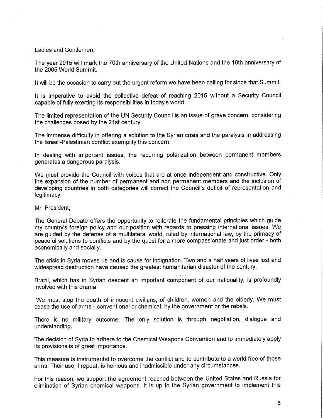Ladies and Gentlemen,

The year 2015 will mark the 70th anniversary of the United Nations and the 10th anniversary of the 2005 World Summit.

It will be the occasion to carry out the urgent reform we have been calling for since that Summit.

It is imperative to avoid the collective defeat of reaching 2015 without a Security Council capable of fully exerting its responsibilities in today's world.

The limited representation of the UN Security Council is an issue of grave concern, considering the challenges posed by the 21st century.

The immense difficulty in offering a solution to the Syrian crisis and the paralysis in addressing the Israeli-Palestinian conflict exemplify this concern.

In dealing with important issues, the recurring polarization between permanent members generates a dangerous paralysis.

We must provide the Council with voices that are at once independent and constructive. Only the expansion of the number of permanent and non permanent members and the inclusion of developing countries in both categories will correct the Council's deficit of representation and legitimacy.

Mr. President,

The General Debate offers the opportunity to reiterate the fundamental principles which guide my country's foreign policy and our position with regards to pressing international issues. We are guided by the defense of a multilateral world, ruled by international law, by the primacy of peaceful solutions to conflicts and by the quest for a more compassionate and just order - both economically and socially.

The crisis in Syria moves us and is cause for indignation. Two and a half years of lives lost and widespread destruction have caused the greatest humanitarian disaster of the century.

Brazil, which has in Syrian descent an important component of our nationality, is profoundly involved with this drama.

We must stop the death of innocent civilians, of children, women and the elderly. We must cease the use of arms - conventional or chemical, by the government or the rebels.

There is no military outcome. The only solution is through negotiation, dialogue and understanding.

The decision of Syria to adhere to the Chemical Weapons Convention and to immediately apply its provisions is of great importance.

This measure is instrumental to overcome the conflict and to contribute to a world free of those arms. Their use, I repeat, is heinous and inadmissible under any circumstances.

For this reason, we support the agreement reached between the United States and Russia for elimination of Syrian chemical weapons. It is up to the Syrian government to implement this